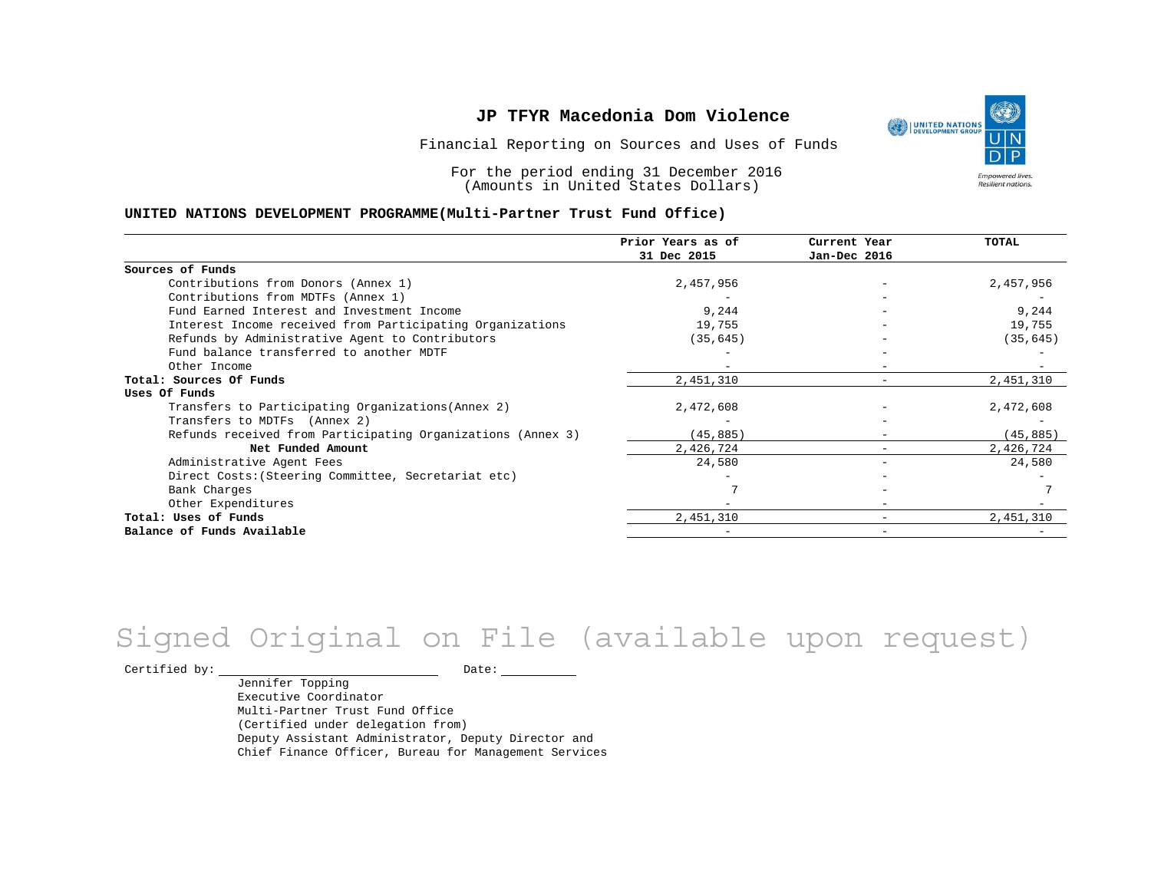Financial Reporting on Sources and Uses of Funds

For the period ending 31 December 2016 (Amounts in United States Dollars)

#### **UNITED NATIONS DEVELOPMENT PROGRAMME(Multi-Partner Trust Fund Office)**

|                                                             | Prior Years as of<br>31 Dec 2015 | Current Year<br>Jan-Dec 2016 | <b>TOTAL</b> |
|-------------------------------------------------------------|----------------------------------|------------------------------|--------------|
|                                                             |                                  |                              |              |
| Sources of Funds                                            |                                  |                              |              |
| Contributions from Donors (Annex 1)                         | 2,457,956                        |                              | 2,457,956    |
| Contributions from MDTFs (Annex 1)                          |                                  |                              |              |
| Fund Earned Interest and Investment Income                  | 9,244                            |                              | 9,244        |
| Interest Income received from Participating Organizations   | 19,755                           |                              | 19,755       |
| Refunds by Administrative Agent to Contributors             | (35, 645)                        |                              | (35, 645)    |
| Fund balance transferred to another MDTF                    |                                  |                              |              |
| Other Income                                                |                                  |                              |              |
| Total: Sources Of Funds                                     | 2,451,310                        |                              | 2,451,310    |
| Uses Of Funds                                               |                                  |                              |              |
| Transfers to Participating Organizations (Annex 2)          | 2,472,608                        |                              | 2,472,608    |
| Transfers to MDTFs (Annex 2)                                |                                  |                              |              |
| Refunds received from Participating Organizations (Annex 3) | (45, 885)                        |                              | (45, 885)    |
| Net Funded Amount                                           | 2,426,724                        |                              | 2,426,724    |
| Administrative Agent Fees                                   | 24,580                           |                              | 24,580       |
| Direct Costs: (Steering Committee, Secretariat etc)         |                                  |                              |              |
| Bank Charges                                                |                                  |                              |              |
| Other Expenditures                                          |                                  |                              |              |
| Total: Uses of Funds                                        | 2,451,310                        |                              | 2,451,310    |
| Balance of Funds Available                                  |                                  |                              |              |

# Signed Original on File (available upon request)

Certified by: Date:

Jennifer Topping Executive Coordinator Multi-Partner Trust Fund Office (Certified under delegation from) Deputy Assistant Administrator, Deputy Director and Chief Finance Officer, Bureau for Management Services

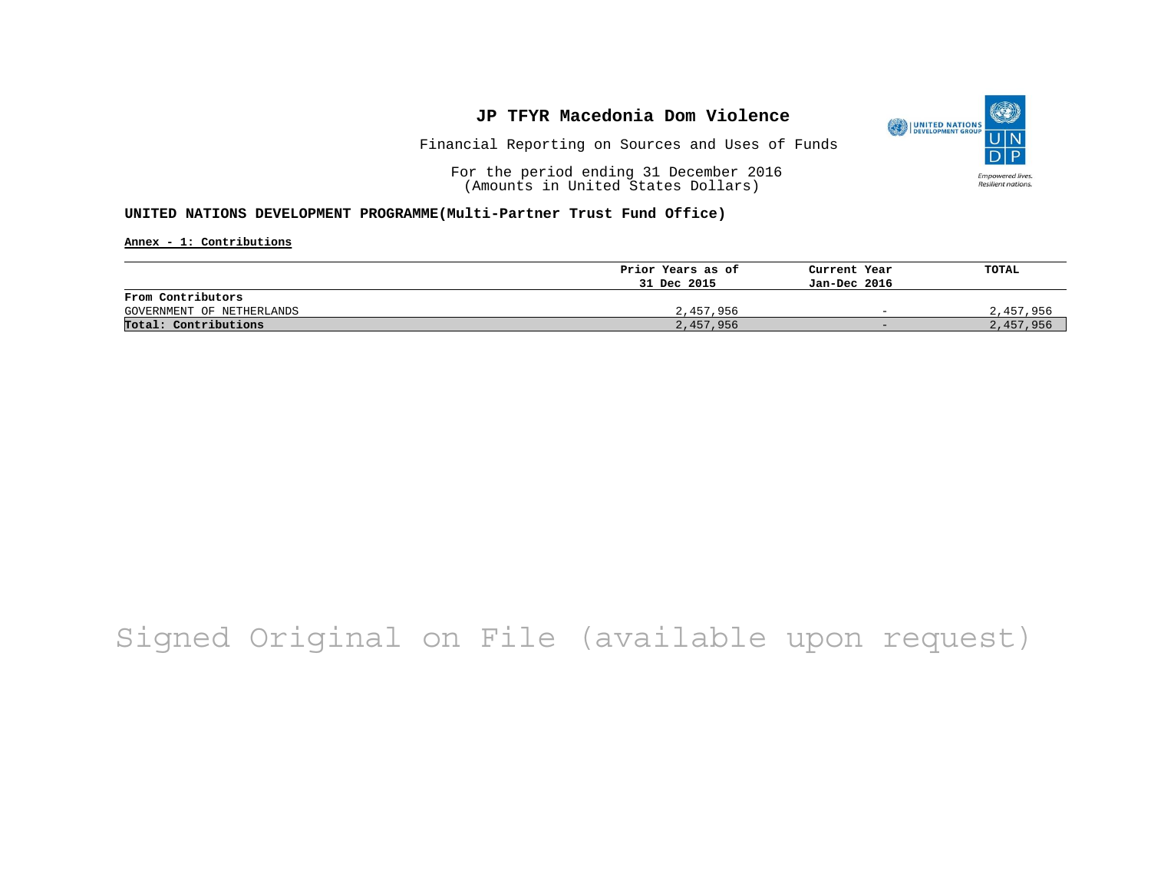

Financial Reporting on Sources and Uses of Funds

For the period ending 31 December 2016 (Amounts in United States Dollars)

#### **UNITED NATIONS DEVELOPMENT PROGRAMME(Multi-Partner Trust Fund Office)**

**Annex - 1: Contributions**

|                           | Prior Years as of | Current Year             | TOTAL     |
|---------------------------|-------------------|--------------------------|-----------|
|                           | 31 Dec 2015       | Jan-Dec 2016             |           |
| From Contributors         |                   |                          |           |
| GOVERNMENT OF NETHERLANDS | 2,457,956         | $\overline{\phantom{0}}$ | 2,457,956 |
| Total: Contributions      | 2,457,956         | $-$                      | 2,457,956 |

## Signed Original on File (available upon request)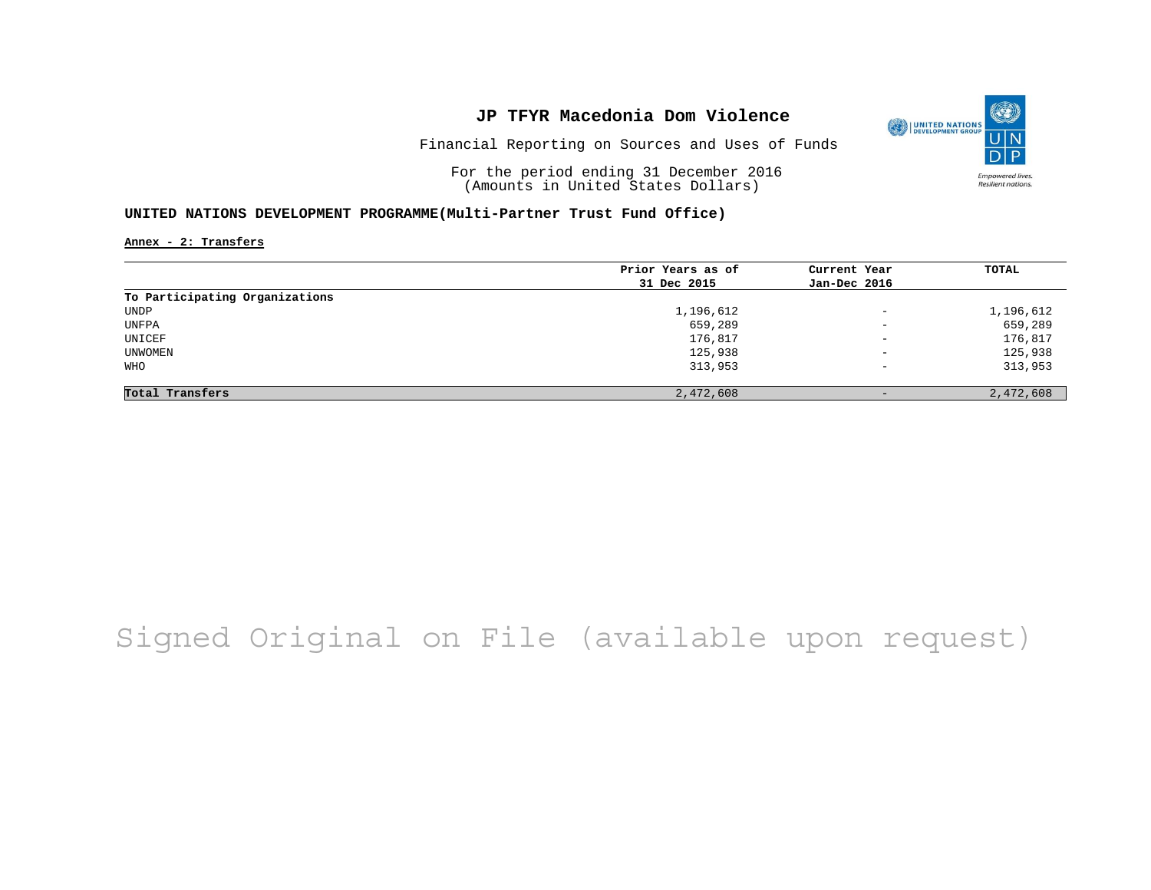

O

**Empowered lives** Resilient nations.

Financial Reporting on Sources and Uses of Funds

For the period ending 31 December 2016 (Amounts in United States Dollars)

#### **UNITED NATIONS DEVELOPMENT PROGRAMME(Multi-Partner Trust Fund Office)**

**Annex - 2: Transfers**

|                                | Prior Years as of | Current Year             | TOTAL     |
|--------------------------------|-------------------|--------------------------|-----------|
|                                | 31 Dec 2015       | Jan-Dec 2016             |           |
| To Participating Organizations |                   |                          |           |
| UNDP                           | 1,196,612         | $\equiv$                 | 1,196,612 |
| UNFPA                          | 659,289           | $\overline{\phantom{0}}$ | 659,289   |
| UNICEF                         | 176,817           | $\overline{\phantom{m}}$ | 176,817   |
| UNWOMEN                        | 125,938           | $\qquad \qquad -$        | 125,938   |
| WHO                            | 313,953           | $\qquad \qquad -$        | 313,953   |
| Total Transfers                | 2,472,608         |                          | 2,472,608 |

# Signed Original on File (available upon request)